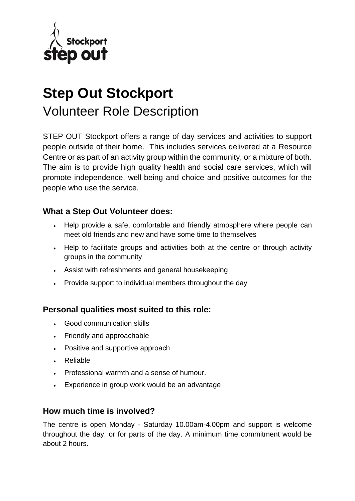

# **Step Out Stockport**  Volunteer Role Description

STEP OUT Stockport offers a range of day services and activities to support people outside of their home. This includes services delivered at a Resource Centre or as part of an activity group within the community, or a mixture of both. The aim is to provide high quality health and social care services, which will promote independence, well-being and choice and positive outcomes for the people who use the service.

#### **What a Step Out Volunteer does:**

- Help provide a safe, comfortable and friendly atmosphere where people can meet old friends and new and have some time to themselves
- Help to facilitate groups and activities both at the centre or through activity groups in the community
- Assist with refreshments and general housekeeping
- Provide support to individual members throughout the day

#### **Personal qualities most suited to this role:**

- Good communication skills
- Friendly and approachable
- Positive and supportive approach
- Reliable
- Professional warmth and a sense of humour.
- Experience in group work would be an advantage

#### **How much time is involved?**

The centre is open Monday - Saturday 10.00am-4.00pm and support is welcome throughout the day, or for parts of the day. A minimum time commitment would be about 2 hours.